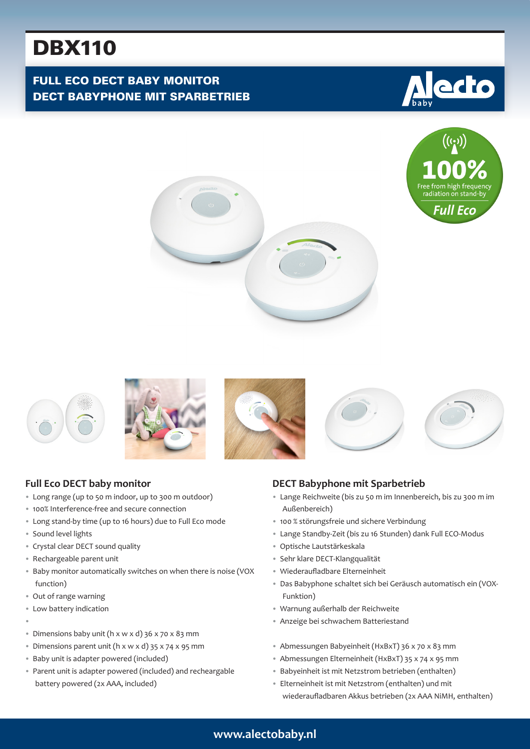# DBX110

# FULL ECO DECT BABY MONITOR DECT BABYPHONE MIT SPARBETRIEB















# **Full Eco DECT baby monitor**

- Long range (up to 50 m indoor, up to 300 m outdoor)
- 100% Interference-free and secure connection
- Long stand-by time (up to 16 hours) due to Full Eco mode
- Sound level lights
- Crystal clear DECT sound quality
- Rechargeable parent unit
- Baby monitor automatically switches on when there is noise (VOX function)
- Out of range warning
- Low battery indication
- •
- Dimensions baby unit (h x w x d) 36 x 70 x 83 mm
- Dimensions parent unit (h x w x d) 35 x 74 x 95 mm
- Baby unit is adapter powered (included)
- Parent unit is adapter powered (included) and recheargable battery powered (2x AAA, included)

#### **DECT Babyphone mit Sparbetrieb**

- Lange Reichweite (bis zu 50 m im Innenbereich, bis zu 300 m im Außenbereich)
- 100 % störungsfreie und sichere Verbindung
- Lange Standby-Zeit (bis zu 16 Stunden) dank Full ECO-Modus
- Optische Lautstärkeskala
- Sehr klare DECT-Klangqualität
- Wiederaufladbare Elterneinheit
- Das Babyphone schaltet sich bei Geräusch automatisch ein (VOX-Funktion)
- Warnung außerhalb der Reichweite
- Anzeige bei schwachem Batteriestand
- Abmessungen Babyeinheit (HxBxT) 36 x 70 x 83 mm
- Abmessungen Elterneinheit (HxBxT) 35 x 74 x 95 mm
- Babyeinheit ist mit Netzstrom betrieben (enthalten)
- Elterneinheit ist mit Netzstrom (enthalten) und mit wiederaufladbaren Akkus betrieben (2x AAA NiMH, enthalten)